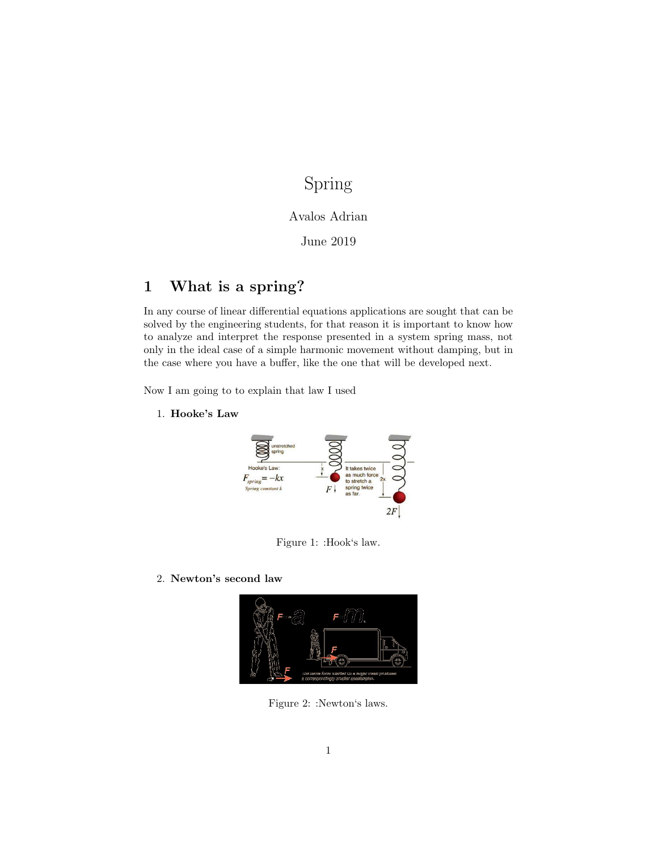# Spring

### Avalos Adrian

### June 2019

# 1 What is a spring?

In any course of linear differential equations applications are sought that can be solved by the engineering students, for that reason it is important to know how to analyze and interpret the response presented in a system spring mass, not only in the ideal case of a simple harmonic movement without damping, but in the case where you have a buffer, like the one that will be developed next.

Now I am going to to explain that law I used

1. Hooke's Law



Figure 1: :Hook's law.

2. Newton's second law



Figure 2: :Newton's laws.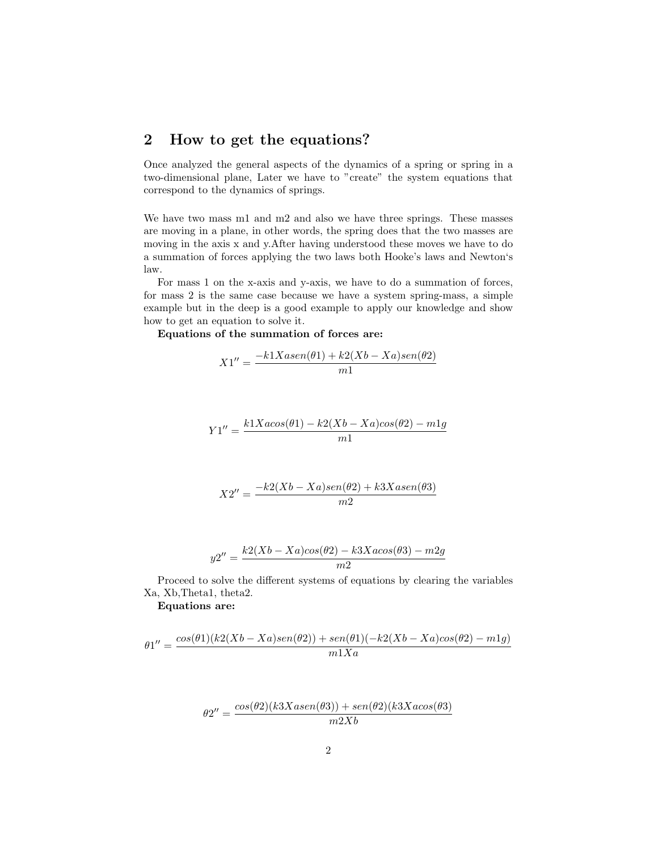### 2 How to get the equations?

Once analyzed the general aspects of the dynamics of a spring or spring in a two-dimensional plane, Later we have to "create" the system equations that correspond to the dynamics of springs.

We have two mass m1 and m2 and also we have three springs. These masses are moving in a plane, in other words, the spring does that the two masses are moving in the axis x and y.After having understood these moves we have to do a summation of forces applying the two laws both Hooke's laws and Newton's law.

For mass 1 on the x-axis and y-axis, we have to do a summation of forces, for mass 2 is the same case because we have a system spring-mass, a simple example but in the deep is a good example to apply our knowledge and show how to get an equation to solve it.

Equations of the summation of forces are:

$$
X1'' = \frac{-k1Xasen(\theta 1) + k2(Xb - Xa)sen(\theta 2)}{m1}
$$

$$
Y1'' = \frac{k1Xa\cos(\theta 1) - k2(Xb - Xa)\cos(\theta 2) - m1g}{m1}
$$

$$
X2'' = \frac{-k2(Xb-Xa)sen(\theta2) + k3Xasen(\theta3)}{m2}
$$

$$
y2'' = \frac{k2(Xb - Xa)\cos(\theta 2) - k3Xa\cos(\theta 3) - m2g}{m2}
$$

Proceed to solve the different systems of equations by clearing the variables Xa, Xb,Theta1, theta2.

#### Equations are:

$$
\theta1'' = \frac{\cos(\theta 1)(k2(Xb-Xa)sen(\theta 2)) + sen(\theta 1)(-k2(Xb-Xa)cos(\theta 2) - m1g)}{m1Xa}
$$

$$
\theta 2'' = \frac{\cos(\theta 2)(k3Xasen(\theta 3)) + \sin(\theta 2)(k3Xa\cos(\theta 3))}{m2Xb}
$$